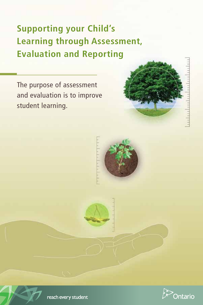# **Supporting your Child's Learning through Assessment, Evaluation and Reporting**

The purpose of assessment and evaluation is to improve student learning.







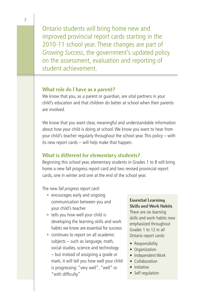Ontario students will bring home new and improved provincial report cards starting in the 2010-11 school year. These changes are part of *Growing Success,* the government's updated policy on the assessment, evaluation and reporting of student achievement.

#### **What role do I have as a parent?**

We know that you, as a parent or guardian, are vital partners in your child's education and that children do better at school when their parents are involved.

We know that you want clear, meaningful and understandable information about how your child is doing at school. We know you want to hear from your child's teacher regularly throughout the school year. This policy – with its new report cards – will help make that happen.

#### **What is different for elementary students?**

Beginning this school year, elementary students in Grades 1 to 8 will bring home a new fall progress report card and two revised provincial report cards, one in winter and one at the end of the school year.

The new *fall progress report card*:

- encourages early and ongoing communication between you and your child's teacher
- tells you how well your child is developing the learning skills and work habits we know are essential for success
- continues to report on all academic subjects – such as language, math, social studies, science and technology – but instead of assigning a grade or mark, it will tell you how well your child is progressing: "very well", "well" or "with difficulty"

#### **Essential Learning Skills and Work Habits**

There are six learning skills and work habits now emphasized throughout Grades 1 to 12 in all Ontario report cards:

- Responsibility
- Organization
- Independent Work
- Collaboration
- Initiative
- Self regulation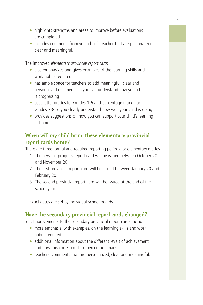- highlights strengths and areas to improve before evaluations are completed
- includes comments from your child's teacher that are personalized, clear and meaningful.

The improved *elementary provincial report card*:

- also emphasizes and gives examples of the learning skills and work habits required
- has ample space for teachers to add meaningful, clear and personalized comments so you can understand how your child is progressing
- uses letter grades for Grades 1-6 and percentage marks for Grades 7-8 so you clearly understand how well your child is doing
- provides suggestions on how you can support your child's learning at home.

# **When will my child bring these elementary provincial report cards home?**

There are three formal and required reporting periods for elementary grades.

- 1. The new fall progress report card will be issued between October 20 and November 20.
- 2. The first provincial report card will be issued between January 20 and February 20.
- 3. The second provincial report card will be issued at the end of the school year.

Exact dates are set by individual school boards.

# **Have the secondary provincial report cards changed?**

Yes. Improvements to the secondary provincial report cards include:

- more emphasis, with examples, on the learning skills and work habits required
- additional information about the different levels of achievement and how this corresponds to percentage marks
- teachers' comments that are personalized, clear and meaningful.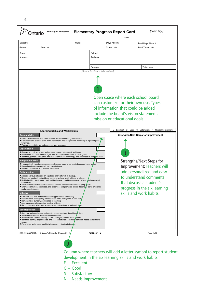| Student:                                                                                                                                                                           |                                                                                                                                                                                                                                                                                                                                                                                                                                                                                                                                                                                                                                                                                                                                                                                                                                                                                                                                                                                                                                                                                                                                                                                                                                                                                                                                                                                                                                                                                                                                                                                                                                                                                                                                                                                                                                                                                            | OEN:       | Date:<br>Days Absent:         | Total Days Absent:                                                                                                                                                                                                                                                                                                                                                                                                                                                                  |
|------------------------------------------------------------------------------------------------------------------------------------------------------------------------------------|--------------------------------------------------------------------------------------------------------------------------------------------------------------------------------------------------------------------------------------------------------------------------------------------------------------------------------------------------------------------------------------------------------------------------------------------------------------------------------------------------------------------------------------------------------------------------------------------------------------------------------------------------------------------------------------------------------------------------------------------------------------------------------------------------------------------------------------------------------------------------------------------------------------------------------------------------------------------------------------------------------------------------------------------------------------------------------------------------------------------------------------------------------------------------------------------------------------------------------------------------------------------------------------------------------------------------------------------------------------------------------------------------------------------------------------------------------------------------------------------------------------------------------------------------------------------------------------------------------------------------------------------------------------------------------------------------------------------------------------------------------------------------------------------------------------------------------------------------------------------------------------------|------------|-------------------------------|-------------------------------------------------------------------------------------------------------------------------------------------------------------------------------------------------------------------------------------------------------------------------------------------------------------------------------------------------------------------------------------------------------------------------------------------------------------------------------------|
| Grade:                                                                                                                                                                             | Teacher:                                                                                                                                                                                                                                                                                                                                                                                                                                                                                                                                                                                                                                                                                                                                                                                                                                                                                                                                                                                                                                                                                                                                                                                                                                                                                                                                                                                                                                                                                                                                                                                                                                                                                                                                                                                                                                                                                   |            | Times I ate:                  | Total Times Late:                                                                                                                                                                                                                                                                                                                                                                                                                                                                   |
| Board:                                                                                                                                                                             |                                                                                                                                                                                                                                                                                                                                                                                                                                                                                                                                                                                                                                                                                                                                                                                                                                                                                                                                                                                                                                                                                                                                                                                                                                                                                                                                                                                                                                                                                                                                                                                                                                                                                                                                                                                                                                                                                            | School:    |                               |                                                                                                                                                                                                                                                                                                                                                                                                                                                                                     |
| Address:                                                                                                                                                                           |                                                                                                                                                                                                                                                                                                                                                                                                                                                                                                                                                                                                                                                                                                                                                                                                                                                                                                                                                                                                                                                                                                                                                                                                                                                                                                                                                                                                                                                                                                                                                                                                                                                                                                                                                                                                                                                                                            | Address:   |                               |                                                                                                                                                                                                                                                                                                                                                                                                                                                                                     |
|                                                                                                                                                                                    |                                                                                                                                                                                                                                                                                                                                                                                                                                                                                                                                                                                                                                                                                                                                                                                                                                                                                                                                                                                                                                                                                                                                                                                                                                                                                                                                                                                                                                                                                                                                                                                                                                                                                                                                                                                                                                                                                            |            |                               |                                                                                                                                                                                                                                                                                                                                                                                                                                                                                     |
|                                                                                                                                                                                    |                                                                                                                                                                                                                                                                                                                                                                                                                                                                                                                                                                                                                                                                                                                                                                                                                                                                                                                                                                                                                                                                                                                                                                                                                                                                                                                                                                                                                                                                                                                                                                                                                                                                                                                                                                                                                                                                                            | Principal: |                               | Telephone:                                                                                                                                                                                                                                                                                                                                                                                                                                                                          |
| <b>Responsibility</b><br>timelines.<br>Organization<br>Independent Work<br>Collaboration<br>interactions.<br>and make decisions.<br>Initiative<br><b>Self-Regulation</b><br>goals. | <b>Learning Skills and Work Habits</b><br>Fulfils responsibilities and commitments within the learning environment.<br>Completes and submits class work, homework, and assignments according to agreed-upon<br>Takes responsibility for and manages own behaviour.<br>Devises and follows a plan and process for completing work and tasks.<br>Establishes priorities and manages time to complete tasks and achieve goals.<br>■ Identifies, gathers, evaluates, and uses information, technology, and resources to complete tasks<br>Independently monitors, assesses, and revises plans to complete tasks and meet goals.<br>Uses class time appropriately to complete tasks.<br>Follows instructions with minimal supervision.<br>Accepts various roles and an equitable share of work in a group.<br>Responds positively to the ideas, opinions, values, and traditions of others.<br>Builds healthy peer-to-peer relationships in person and through personal and niedia-assisted<br>Works with others to resolve conflicts and build consensus to achieve group goals.<br>Shares information, resources, and expertise, and promotes critical thinking to solve problems<br>Looks for and acts on new ideas and opportunities for learning.<br>Demonstrates the capacity for innovation and a willingness to take risks<br>Demonstrates curiosity and interest in learning.<br>Approaches new tasks with a positive attitude.<br>Recognizes and advocates appropriately for the rights of self and others.<br>Sets own individual goals and monitors progress towards achieving them.<br>Seeks clarification or assistance when needed.<br>Assesses and reflects critically on own strengths, needs, and interests.<br>I Identifies learning opportunities, choices, and strategies to meet personal needs and achieve<br>Perseveres and makes an effort when responding to challeng |            | mission or educational goals. | Open space where each school board<br>can customize for their own use. Types<br>of information that could be added<br>include the board's vision statement,<br>E - Excellent G - Good S - Satisfactory N - Needs Improvement<br><b>Strengths/Next Steps for Improvement</b><br>Strengths/Next Steps for<br>Improvement: Teachers will<br>add personalized and easy<br>to understand comments<br>that discuss a student's<br>progress in the six learning<br>skills and work habits. |
|                                                                                                                                                                                    | 83-0465E (2010/01) © Queen's Printer for Ontario, 2010                                                                                                                                                                                                                                                                                                                                                                                                                                                                                                                                                                                                                                                                                                                                                                                                                                                                                                                                                                                                                                                                                                                                                                                                                                                                                                                                                                                                                                                                                                                                                                                                                                                                                                                                                                                                                                     | Grades 1-6 |                               | Page 1 of 2                                                                                                                                                                                                                                                                                                                                                                                                                                                                         |
|                                                                                                                                                                                    | $E - Excellent$                                                                                                                                                                                                                                                                                                                                                                                                                                                                                                                                                                                                                                                                                                                                                                                                                                                                                                                                                                                                                                                                                                                                                                                                                                                                                                                                                                                                                                                                                                                                                                                                                                                                                                                                                                                                                                                                            | $G - Good$ |                               | Column where teachers will add a letter symbol to report student<br>development in the six learning skills and work habits:                                                                                                                                                                                                                                                                                                                                                         |

**4**

- S Satisfactory
- N Needs Improvement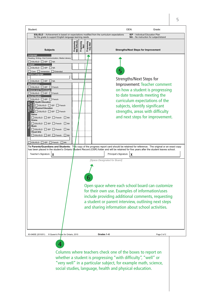| Student:                                                                                                                                                                                                                                                                                                                                                                                                                                                                                                                                                                                                                                                                                                                                                                                                                                                                                                                                                                                                                                                             |                                                 | OEN:                                                                                                                      | Grade:                                                                                                                                                                                                                                                                |
|----------------------------------------------------------------------------------------------------------------------------------------------------------------------------------------------------------------------------------------------------------------------------------------------------------------------------------------------------------------------------------------------------------------------------------------------------------------------------------------------------------------------------------------------------------------------------------------------------------------------------------------------------------------------------------------------------------------------------------------------------------------------------------------------------------------------------------------------------------------------------------------------------------------------------------------------------------------------------------------------------------------------------------------------------------------------|-------------------------------------------------|---------------------------------------------------------------------------------------------------------------------------|-----------------------------------------------------------------------------------------------------------------------------------------------------------------------------------------------------------------------------------------------------------------------|
| ESL/ELD - Achievement is based on expectations modified from the curriculum expectations<br>for the grade to support English language learning needs.                                                                                                                                                                                                                                                                                                                                                                                                                                                                                                                                                                                                                                                                                                                                                                                                                                                                                                                |                                                 |                                                                                                                           | IEP - Individual Education Plan<br>NA - No instruction for subject/strand                                                                                                                                                                                             |
| Progressing<br>With Difficulty<br><b>Subjects</b>                                                                                                                                                                                                                                                                                                                                                                                                                                                                                                                                                                                                                                                                                                                                                                                                                                                                                                                                                                                                                    | Progressing<br>Very Well<br>Progressing<br>Well |                                                                                                                           | <b>Strengths/Next Steps for Improvement</b>                                                                                                                                                                                                                           |
| Language<br>Reading, Writing, Oral Communication, Media Literacy<br>$\square$ esl/eld $\square$ iep $\square$ na<br>French<br>$\Box$ ESL/ELD $\Box$ IEP $\Box$ NA<br>Core   Immersion   Extended<br><b>Native Language</b><br>$\square$ esl/eld $\square$ iep $\square$ na<br><b>Mathematics</b><br>ESL/ELD EP French<br><b>Science and Technology</b><br>$\Box$ ESL/ELD $\Box$ IEP $\Box$ French<br><b>Social Studies</b><br>$\Box$ ESL/ELD $\Box$ IEP $\Box$ French<br>$\frac{1}{2}$ Health Education<br>$\Box$ ESL/ELD $\Box$ IEP $\Box$ French<br>Physical Education<br>Physic<br>Educa<br>$\Box$ ESL/ELD $\Box$ IEP $\Box$ French<br>Dance<br>ESL/ELD FIEP French NA<br><b>Drama</b><br>ξ<br>$\Box$ ESL/ELD $\Box$ IEP $\Box$ French $\Box$ NA<br>Music<br>Fhe<br>$\Box$ ESL/ELD $\Box$ IEP $\Box$ French $\Box$ NA<br><b>Visual Arts</b><br>$\Box$ ESL/ELD $\Box$ IEP $\Box$ French $\Box$ NA<br>ESL/ELD EP French<br>To Parents/Guardians and Students: This copy of the progress report card should be retained for reference. The original or an exact copy |                                                 |                                                                                                                           | Strengths/Next Steps for<br>Improvement: Teacher comment<br>on how a student is progressing<br>to date towards meeting the<br>curriculum expectations of the<br>subjects, identify significant<br>strengths, areas with difficulty<br>and next steps for improvement. |
| has been placed in the student's Ontario Student Record (OSR) folder and will be retained for five years after the student leaves school.<br>Teacher's Signature<br>х                                                                                                                                                                                                                                                                                                                                                                                                                                                                                                                                                                                                                                                                                                                                                                                                                                                                                                |                                                 | Principal's Signature<br>χ                                                                                                |                                                                                                                                                                                                                                                                       |
|                                                                                                                                                                                                                                                                                                                                                                                                                                                                                                                                                                                                                                                                                                                                                                                                                                                                                                                                                                                                                                                                      |                                                 | [Space Designated for Board]                                                                                              | Open space where each school board can customize<br>for their own use. Examples of information/uses<br>include providing additional comments, requesting<br>a student or parent interview, outlining next steps<br>and sharing information about school activities.   |
| 83-0465E (2010/01)<br>C Queen's Printer for Ontario, 2010                                                                                                                                                                                                                                                                                                                                                                                                                                                                                                                                                                                                                                                                                                                                                                                                                                                                                                                                                                                                            | Grades 1-6                                      |                                                                                                                           | Page 2 of 2                                                                                                                                                                                                                                                           |
|                                                                                                                                                                                                                                                                                                                                                                                                                                                                                                                                                                                                                                                                                                                                                                                                                                                                                                                                                                                                                                                                      |                                                 |                                                                                                                           |                                                                                                                                                                                                                                                                       |
|                                                                                                                                                                                                                                                                                                                                                                                                                                                                                                                                                                                                                                                                                                                                                                                                                                                                                                                                                                                                                                                                      |                                                 | Columns where teachers check one of the boxes to report on<br>whathor a student is programing "with difficulty" "wall" or |                                                                                                                                                                                                                                                                       |

whether a student is progressing "with difficulty", "well" or "very well" in a particular subject, for example math, science, social studies, language, health and physical education.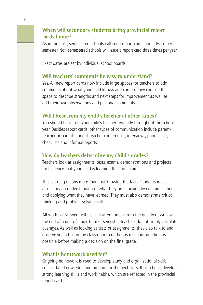#### **When will secondary students bring provincial report cards home?**

As in the past, semestered schools will send report cards home twice per semester. Non-semestered schools will issue a report card three times per year.

Exact dates are set by individual school boards.

## **Will teachers' comments be easy to understand?**

Yes. All new report cards now include large spaces for teachers to add comments about what your child knows and can do. They can use the space to describe strengths and next steps for improvement as well as add their own observations and personal comments.

### **Will I hear from my child's teacher at other times?**

You should hear from your child's teacher regularly throughout the school year. Besides report cards, other types of communication include parentteacher or parent-student-teacher conferences, interviews, phone calls, checklists and informal reports.

### **How do teachers determine my child's grades?**

Teachers look at assignments, tests, exams, demonstrations and projects for evidence that your child is learning the curriculum.

This learning means more than just knowing the facts. Students must also show an understanding of what they are studying by communicating and applying what they have learned. They must also demonstrate critical thinking and problem-solving skills.

All work is reviewed with special attention given to the quality of work at the end of a unit of study, term or semester. Teachers do not simply calculate averages. As well as looking at tests or assignments, they also talk to and observe your child in the classroom to gather as much information as possible before making a decision on the final grade.

#### **What is homework used for?**

Ongoing homework is used to develop study and organizational skills, consolidate knowledge and prepare for the next class. It also helps develop strong learning skills and work habits, which are reflected in the provincial report card.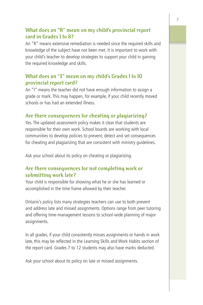### **What does an "R" mean on my child's provincial report card in Grades 1 to 8?**

An "R" means extensive remediation is needed since the required skills and knowledge of the subject have not been met. It is important to work with your child's teacher to develop strategies to support your child in gaining the required knowledge and skills.

### **What does an "I" mean on my child's Grades 1 to 10 provincial report card?**

An "I" means the teacher did not have enough information to assign a grade or mark. This may happen, for example, if your child recently moved schools or has had an extended illness.

#### **Are there consequences for cheating or plagiarizing?**

Yes. The updated assessment policy makes it clear that students are responsible for their own work. School boards are working with local communities to develop policies to prevent, detect and set consequences for cheating and plagiarizing that are consistent with ministry guidelines.

Ask your school about its policy on cheating or plagiarizing.

#### **Are there consequences for not completing work or submitting work late?**

Your child is responsible for showing what he or she has learned or accomplished in the time frame allowed by their teacher.

Ontario's policy lists many strategies teachers can use to both prevent and address late and missed assignments. Options range from peer tutoring and offering time-management lessons to school-wide planning of major assignments.

In all grades, if your child consistently misses assignments or hands in work late, this may be reflected in the Learning Skills and Work Habits section of the report card. Grades 7 to 12 students may also have marks deducted.

Ask your school about its policy on late or missed assignments.